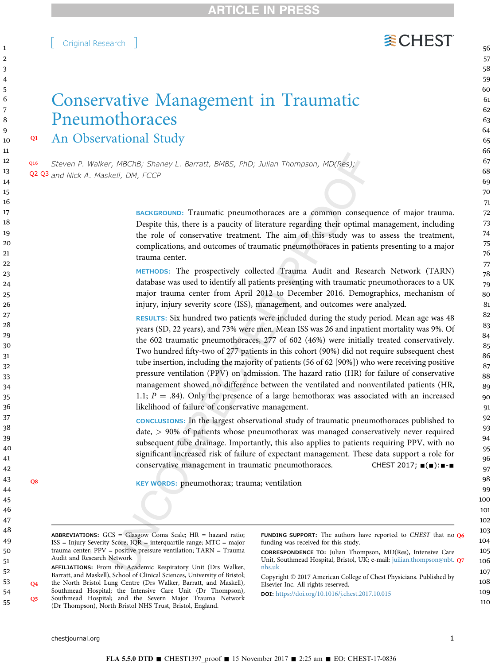Audit and Research Network

years (SD, 22 years), and 73% were men. Mean ISS was 26 and inpatient mortality was 9%. Of the 602 traumatic pneumothoraces, 277 of 602 (46%) were initially treated conservatively. Two hundred fifty-two of 277 patients in this cohort (90%) did not require subsequent chest tube insertion, including the majority of patients (56 of 62 [90%]) who were receiving positive pressure ventilation (PPV) on admission. The hazard ratio (HR) for failure of conservative management showed no difference between the ventilated and nonventilated patients (HR,

1.1;  $P = .84$ ). Only the presence of a large hemothorax was associated with an increased likelihood of failure of conservative management.

CONCLUSIONS: In the largest observational study of traumatic pneumothoraces published to date, > 90% of patients whose pneumothorax was managed conservatively never required subsequent tube drainage. Importantly, this also applies to patients requiring PPV, with no significant increased risk of failure of expectant management. These data support a role for conservative management in traumatic pneumothoraces. CHEST 2017;  $\blacksquare(\blacksquare)$ :  $\blacksquare$ - $\blacksquare$ 

funding was received for this study.

FUNDING SUPPORT: The authors have reported to CHEST that no Q6

CORRESPONDENCE TO: Julian Thompson, MD(Res), Intensive Care Unit, Southmead Hospital, Bristol, UK; e-mail: [juilian.thompson@nbt.](mailto:juilian.thompson@nbt.nhs.uk) Q7

Q8 KEY WORDS: pneumothorax; trauma; ventilation

ABBREVIATIONS: GCS = Glasgow Coma Scale; HR = hazard ratio; ISS = Injury Severity Score; IQR = interquartile range; MTC = major trauma center; PPV = positive pressure ventilation; TARN = Trauma

(Dr Thompson), North Bristol NHS Trust, Bristol, England.

[ Original Research ]

# Conservative Management in Traumatic Pneumothoraces Q1 An Observational Study

Q16 Steven P. Walker, MBChB; Shaney L. Barratt, BMBS, PhD; Julian Thompson, MD(Res); Q2 Q3 and Nick A. Maskell, DM, FCCP

> BACKGROUND: Traumatic pneumothoraces are a common consequence of major trauma. Despite this, there is a paucity of literature regarding their optimal management, including the role of conservative treatment. The aim of this study was to assess the treatment, complications, and outcomes of traumatic pneumothoraces in patients presenting to a major trauma center.

> METHODS: The prospectively collected Trauma Audit and Research Network (TARN) database was used to identify all patients presenting with traumatic pneumothoraces to a UK major trauma center from April 2012 to December 2016. Demographics, mechanism of injury, injury severity score (ISS), management, and outcomes were analyzed.

**WCHEST**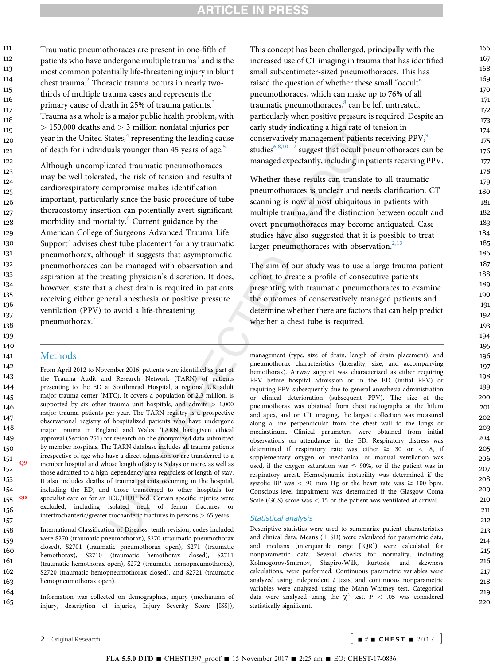## **ARTICLE IN PRESS**

Traumatic pneumothoraces are present in one-fifth of patients who have undergone multiple trauma<sup>[1](#page-7-0)</sup> and is the most common potentially life-threatening injury in blunt chest trauma.<sup>[2](#page-7-0)</sup> Thoracic trauma occurs in nearly twothirds of multiple trauma cases and represents the primary cause of death in 25% of trauma patients.<sup>[3](#page-7-0)</sup> Trauma as a whole is a major public health problem, with  $> 150,000$  deaths and  $> 3$  million nonfatal injuries per year in the United States, $4$  representing the leading cause of death for individuals younger than 4[5](#page-7-0) years of age.<sup>5</sup> 111 112 113 114 115 116 117 118 119 120 121

Although uncomplicated traumatic pneumothoraces may be well tolerated, the risk of tension and resultant cardiorespiratory compromise makes identification important, particularly since the basic procedure of tube thoracostomy insertion can potentially avert significant morbidity and mortality.<sup>[6](#page-7-0)</sup> Current guidance by the American College of Surgeons Advanced Trauma Life Support<sup>[7](#page-7-0)</sup> advises chest tube placement for any traumatic pneumothorax, although it suggests that asymptomatic pneumothoraces can be managed with observation and aspiration at the treating physician's discretion. It does, however, state that a chest drain is required in patients receiving either general anesthesia or positive pressure ventilation (PPV) to avoid a life-threatening pneumothorax.<sup>[7](#page-7-0)</sup>

#### **Methods**

From April 2012 to November 2016, patients were identified as part of the Trauma Audit and Research Network (TARN) of patients presenting to the ED at Southmead Hospital, a regional UK adult major trauma center (MTC). It covers a population of 2.3 million, is supported by six other trauma unit hospitals, and admits  $> 1,000$ major trauma patients per year. The TARN registry is a prospective observational registry of hospitalized patients who have undergone major trauma in England and Wales. TARN has given ethical approval (Section 251) for research on the anonymized data submitted by member hospitals. The TARN database includes all trauma patients irrespective of age who have a direct admission or are transferred to a Q<sup>9</sup> member hospital and whose length of stay is 3 days or more, as well as those admitted to a high-dependency area regardless of length of stay. It also includes deaths of trauma patients occurring in the hospital, including the ED, and those transferred to other hospitals for Q10 specialist care or for an ICU/HDU bed. Certain specific injuries were excluded, including isolated neck of femur fractures or intertrochanteric/greater trochanteric fractures in persons > 65 years.

International Classification of Diseases, tenth revision, codes included were S270 (traumatic pneumothorax), S270 (traumatic pneumothorax closed), S2701 (traumatic pneumothorax open), S271 (traumatic hemothorax), S2710 (traumatic hemothorax closed), S2711 (traumatic hemothorax open), S272 (traumatic hemopneumothorax), S2720 (traumatic hemopneumothorax closed), and S2721 (traumatic hemopneumothorax open).

Information was collected on demographics, injury (mechanism of injury, description of injuries, Injury Severity Score [ISS]),

This concept has been challenged, principally with the increased use of CT imaging in trauma that has identified small subcentimeter-sized pneumothoraces. This has raised the question of whether these small "occult" pneumothoraces, which can make up to 76% of all traumatic pneumothoraces,<sup>[8](#page-7-0)</sup> can be left untreated, particularly when positive pressure is required. Despite an early study indicating a high rate of tension in conservatively management patients receiving PPV,<sup>9</sup> studies $6,8,10-12$  suggest that occult pneumothoraces can be managed expectantly, including in patients receiving PPV.

Whether these results can translate to all traumatic pneumothoraces is unclear and needs clarification. CT scanning is now almost ubiquitous in patients with multiple trauma, and the distinction between occult and overt pneumothoraces may become antiquated. Case studies have also suggested that it is possible to treat larger pneumothoraces with observation. $2,13$ 

The aim of our study was to use a large trauma patient cohort to create a profile of consecutive patients presenting with traumatic pneumothoraces to examine the outcomes of conservatively managed patients and determine whether there are factors that can help predict whether a chest tube is required.

management (type, size of drain, length of drain placement), and pneumothorax characteristics (laterality, size, and accompanying hemothorax). Airway support was characterized as either requiring PPV before hospital admission or in the ED (initial PPV) or requiring PPV subsequently due to general anesthesia administration or clinical deterioration (subsequent PPV). The size of the pneumothorax was obtained from chest radiographs at the hilum and apex, and on CT imaging, the largest collection was measured along a line perpendicular from the chest wall to the lungs or mediastinum. Clinical parameters were obtained from initial observations on attendance in the ED. Respiratory distress was determined if respiratory rate was either  $\geq 30$  or  $< 8$ , if supplementary oxygen or mechanical or manual ventilation was used, if the oxygen saturation was  $\leq$  90%, or if the patient was in respiratory arrest. Hemodynamic instability was determined if the systolic BP was  $<$  90 mm Hg or the heart rate was  $\geq$  100 bpm. Conscious-level impairment was determined if the Glasgow Coma Scale (GCS) score was < 15 or the patient was ventilated at arrival.

**STATISTICAL ANALYSIS**<br>Descriptive statistics were used to summarize patient characteristics and clinical data. Means  $(\pm$  SD) were calculated for parametric data, and medians (interquartile range [IQR]) were calculated for nonparametric data. Several checks for normality, including Kolmogorov-Smirnov, Shapiro-Wilk, kurtosis, and skewness calculations, were performed. Continuous parametric variables were analyzed using independent  $t$  tests, and continuous nonparametric variables were analyzed using the Mann-Whitney test. Categorical data were analyzed using the  $\chi^2$  test.  $P < .05$  was considered statistically significant.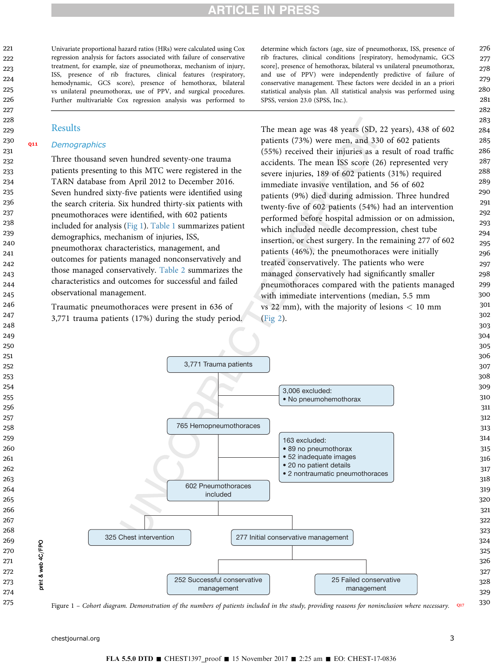## **RTICLE IN PRES**

Univariate proportional hazard ratios (HRs) were calculated using Cox regression analysis for factors associated with failure of conservative treatment, for example, size of pneumothorax, mechanism of injury, ISS, presence of rib fractures, clinical features (respiratory, hemodynamic, GCS score), presence of hemothorax, bilateral vs unilateral pneumothorax, use of PPV, and surgical procedures. Further multivariable Cox regression analysis was performed to

#### Results

#### Q11 **Demographics**

Three thousand seven hundred seventy-one trauma patients presenting to this MTC were registered in the TARN database from April 2012 to December 2016. Seven hundred sixty-five patients were identified using the search criteria. Six hundred thirty-six patients with pneumothoraces were identified, with 602 patients included for analysis (Fig 1). [Table 1](#page-3-0) summarizes patient demographics, mechanism of injuries, ISS, pneumothorax characteristics, management, and outcomes for patients managed nonconservatively and those managed conservatively. [Table 2](#page-4-0) summarizes the characteristics and outcomes for successful and failed observational management.

Traumatic pneumothoraces were present in 636 of 3,771 trauma patients (17%) during the study period. determine which factors (age, size of pneumothorax, ISS, presence of rib fractures, clinical conditions [respiratory, hemodynamic, GCS score], presence of hemothorax, bilateral vs unilateral pneumothorax, and use of PPV) were independently predictive of failure of conservative management. These factors were decided in an a priori statistical analysis plan. All statistical analysis was performed using SPSS, version 23.0 (SPSS, Inc.).

The mean age was 48 years (SD, 22 years), 438 of 602 patients (73%) were men, and 330 of 602 patients (55%) received their injuries as a result of road traffic accidents. The mean ISS score (26) represented very severe injuries, 189 of 602 patients (31%) required immediate invasive ventilation, and 56 of 602 patients (9%) died during admission. Three hundred twenty-five of 602 patients (54%) had an intervention performed before hospital admission or on admission, which included needle decompression, chest tube insertion, or chest surgery. In the remaining 277 of 602 patients (46%), the pneumothoraces were initially treated conservatively. The patients who were managed conservatively had significantly smaller pneumothoraces compared with the patients managed with immediate interventions (median, 5.5 mm vs 22 mm), with the majority of lesions  $< 10$  mm [\(Fig 2](#page-4-0)).



Figure – Cohort diagram. Demonstration of the numbers of patients included in the study, providing reasons for noninclusion where necessary. Q17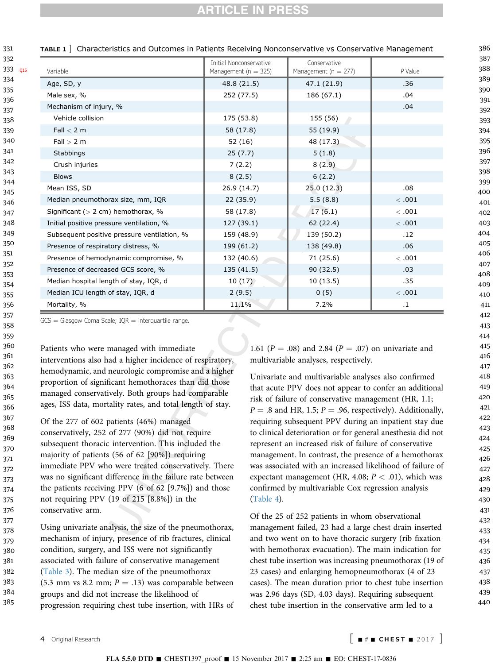<span id="page-3-0"></span>

| 331                                                                                     | TABLE 1   Characteristics and Outcomes in Patients Receiving Nonconservative vs Conservative Management |                                                     |                                          |            |  |
|-----------------------------------------------------------------------------------------|---------------------------------------------------------------------------------------------------------|-----------------------------------------------------|------------------------------------------|------------|--|
| 332<br>333<br>Q15<br>334<br>335<br>336<br>337<br>338<br>339<br>340<br>341<br>342<br>343 | Variable                                                                                                | Initial Nonconservative<br>Management ( $n = 325$ ) | Conservative<br>Management ( $n = 277$ ) | $P$ Value  |  |
|                                                                                         | Age, SD, y                                                                                              | 48.8 (21.5)                                         | 47.1 (21.9)                              | .36        |  |
|                                                                                         | Male sex, %                                                                                             | 252 (77.5)                                          | 186 (67.1)                               | .04        |  |
|                                                                                         | Mechanism of injury, %                                                                                  |                                                     |                                          | .04        |  |
|                                                                                         | Vehicle collision                                                                                       | 175 (53.8)                                          | 155 (56)                                 |            |  |
|                                                                                         | Fall $<$ 2 m                                                                                            | 58 (17.8)                                           | 55 (19.9)                                |            |  |
|                                                                                         | Fall > 2 m                                                                                              | 52 (16)                                             | 48 (17.3)                                |            |  |
|                                                                                         | Stabbings                                                                                               | 25(7.7)                                             | 5(1.8)                                   |            |  |
|                                                                                         | Crush injuries                                                                                          | 7(2.2)                                              | 8(2.9)                                   |            |  |
|                                                                                         | <b>Blows</b>                                                                                            | 8(2.5)                                              | 6(2.2)                                   |            |  |
| 344<br>345                                                                              | Mean ISS, SD                                                                                            | 26.9 (14.7)                                         | 25.0 (12.3)                              | .08        |  |
| 346<br>347                                                                              | Median pneumothorax size, mm, IQR                                                                       | 22(35.9)                                            | 5.5(8.8)                                 | <.001      |  |
|                                                                                         | Significant ( $> 2$ cm) hemothorax, %                                                                   | 58 (17.8)                                           | 17(6.1)                                  | <.001      |  |
| 348                                                                                     | Initial positive pressure ventilation, %                                                                | 127 (39.1)                                          | 62 (22.4)                                | <.001      |  |
| 349<br>350                                                                              | Subsequent positive pressure ventilation, %                                                             | 159 (48.9)                                          | 139 (50.2)                               | .12        |  |
|                                                                                         | Presence of respiratory distress, %                                                                     | 199 (61.2)                                          | 138 (49.8)                               | .06        |  |
| 351                                                                                     | Presence of hemodynamic compromise, %                                                                   | 132 (40.6)                                          | 71 (25.6)                                | <.001      |  |
| 352<br>353                                                                              | Presence of decreased GCS score, %                                                                      | 135(41.5)                                           | 90(32.5)                                 | .03        |  |
| 354                                                                                     | Median hospital length of stay, IQR, d                                                                  | 10(17)                                              | 10(13.5)                                 | .35        |  |
| 355                                                                                     | Median ICU length of stay, IQR, d                                                                       | 2(9.5)                                              | 0(5)                                     | $<\, .001$ |  |
| 356                                                                                     | Mortality, %                                                                                            | 11.1%                                               | 7.2%                                     | $\cdot$ 1  |  |

 $GCS =$  Glasgow Coma Scale; IQR  $=$  interquartile range.

Patients who were managed with immediate interventions also had a higher incidence of respiratory, hemodynamic, and neurologic compromise and a higher proportion of significant hemothoraces than did those managed conservatively. Both groups had comparable ages, ISS data, mortality rates, and total length of stay.

Of the 277 of 602 patients (46%) managed conservatively, 252 of 277 (90%) did not require subsequent thoracic intervention. This included the majority of patients (56 of 62 [90%]) requiring immediate PPV who were treated conservatively. There was no significant difference in the failure rate between the patients receiving PPV (6 of 62 [9.7%]) and those not requiring PPV (19 of 215 [8.8%]) in the conservative arm.

Using univariate analysis, the size of the pneumothorax, mechanism of injury, presence of rib fractures, clinical condition, surgery, and ISS were not significantly associated with failure of conservative management [\(Table 3\)](#page-5-0). The median size of the pneumothorax (5.3 mm vs 8.2 mm;  $P = .13$ ) was comparable between groups and did not increase the likelihood of progression requiring chest tube insertion, with HRs of 378 379 380 381 382 383 384 385

1.61 ( $P = .08$ ) and 2.84 ( $P = .07$ ) on univariate and multivariable analyses, respectively.

Univariate and multivariable analyses also confirmed that acute PPV does not appear to confer an additional risk of failure of conservative management (HR, 1.1;  $P = .8$  and HR, 1.5;  $P = .96$ , respectively). Additionally, requiring subsequent PPV during an inpatient stay due to clinical deterioration or for general anesthesia did not represent an increased risk of failure of conservative management. In contrast, the presence of a hemothorax was associated with an increased likelihood of failure of expectant management (HR, 4.08;  $P < .01$ ), which was confirmed by multivariable Cox regression analysis [\(Table 4\)](#page-5-0).

Of the 25 of 252 patients in whom observational management failed, 23 had a large chest drain inserted and two went on to have thoracic surgery (rib fixation with hemothorax evacuation). The main indication for chest tube insertion was increasing pneumothorax (19 of 23 cases) and enlarging hemopneumothorax (4 of 23 cases). The mean duration prior to chest tube insertion was 2.96 days (SD, 4.03 days). Requiring subsequent chest tube insertion in the conservative arm led to a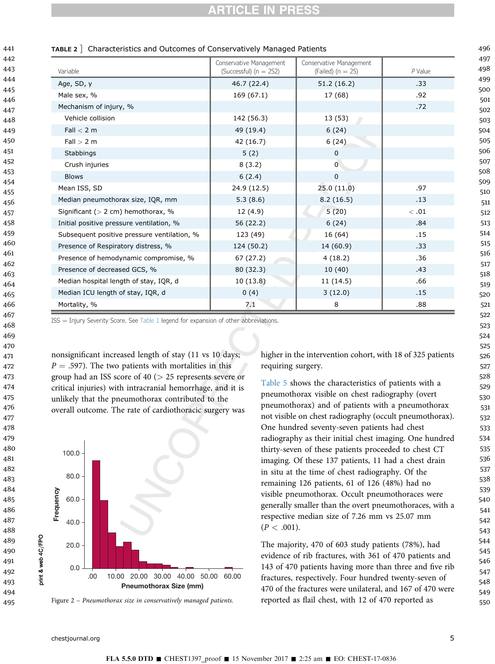| Variable                                    | Conservative Management<br>(Successful) ( $n = 252$ ) | Conservative Management<br>(Failed) ( $n = 25$ ) | $P$ Value |
|---------------------------------------------|-------------------------------------------------------|--------------------------------------------------|-----------|
| Age, SD, y                                  | 46.7 (22.4)                                           | 51.2 (16.2)                                      | .33       |
| Male sex, %                                 | 169 (67.1)                                            | 17 (68)                                          | .92       |
| Mechanism of injury, %                      |                                                       |                                                  | .72       |
| Vehicle collision                           | 142 (56.3)                                            | 13 (53)                                          |           |
| Fall $<$ 2 m                                | 49 (19.4)                                             | 6(24)                                            |           |
| Fall > 2 m                                  | 42 (16.7)                                             | 6(24)                                            |           |
| Stabbings                                   | 5(2)                                                  | $\mathbf 0$                                      |           |
| Crush injuries                              | 8(3.2)                                                | 0                                                |           |
| <b>Blows</b>                                | 6(2.4)                                                | $\pmb{0}$                                        |           |
| Mean ISS, SD                                | 24.9 (12.5)                                           | 25.0(11.0)                                       | .97       |
| Median pneumothorax size, IQR, mm           | 5.3(8.6)                                              | 8.2(16.5)                                        | .13       |
| Significant ( $> 2$ cm) hemothorax, %       | 12 (4.9)                                              | 5(20)                                            | <.01      |
| Initial positive pressure ventilation, %    | 56 (22.2)                                             | 6(24)                                            | .84       |
| Subsequent positive pressure ventilation, % | 123 (49)                                              | 16 (64)                                          | .15       |
| Presence of Respiratory distress, %         | 124 (50.2)                                            | 14 (60.9)                                        | .33       |
| Presence of hemodynamic compromise, %       | 67 (27.2)                                             | 4(18.2)                                          | .36       |
| Presence of decreased GCS, %                | 80(32.3)                                              | 10(40)                                           | .43       |
| Median hospital length of stay, IQR, d      | 10(13.8)                                              | 11 (14.5)                                        | .66       |
| Median ICU length of stay, IQR, d           | 0(4)                                                  | 3(12.0)                                          | .15       |
| Mortality, %                                | 7.1                                                   | 8                                                | .88       |

#### TABLE 2 ] Characteristics and Outcomes of Conservatively Managed Patients

<span id="page-4-0"></span>

 $ISS = Injury$  Severity Score. See [Table 1](#page-3-0) legend for expansion of other abbreviations.

nonsignificant increased length of stay (11 vs 10 days;  $P = .597$ ). The two patients with mortalities in this group had an ISS score of 40 (> 25 represents severe or critical injuries) with intracranial hemorrhage, and it is unlikely that the pneumothorax contributed to the overall outcome. The rate of cardiothoracic surgery was



Figure 2 – Pneumothorax size in conservatively managed patients.

higher in the intervention cohort, with 18 of 325 patients requiring surgery.

[Table 5](#page-5-0) shows the characteristics of patients with a pneumothorax visible on chest radiography (overt pneumothorax) and of patients with a pneumothorax not visible on chest radiography (occult pneumothorax). One hundred seventy-seven patients had chest radiography as their initial chest imaging. One hundred thirty-seven of these patients proceeded to chest CT imaging. Of these 137 patients, 11 had a chest drain in situ at the time of chest radiography. Of the remaining 126 patients, 61 of 126 (48%) had no visible pneumothorax. Occult pneumothoraces were generally smaller than the overt pneumothoraces, with a respective median size of 7.26 mm vs 25.07 mm  $(P < .001)$ .

The majority, 470 of 603 study patients (78%), had evidence of rib fractures, with 361 of 470 patients and 143 of 470 patients having more than three and five rib fractures, respectively. Four hundred twenty-seven of 470 of the fractures were unilateral, and 167 of 470 were reported as flail chest, with 12 of 470 reported as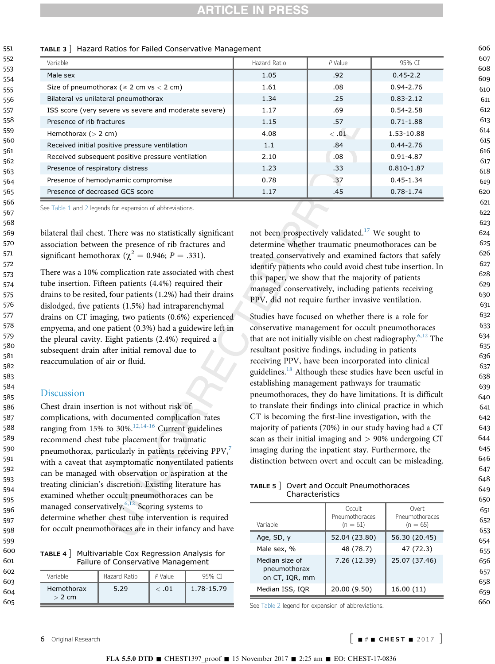## **ARTICLE IN PRESS**

<span id="page-5-0"></span>TABLE 3 ] Hazard Ratios for Failed Conservative Management<br>Variable **1988** Hazard Ratio Variable Hazard Ratio P Value 95% CI Male sex 1.05 | .92 0.45-2.2 Size of pneumothorax ( $\ge 2$  cm vs  $\lt 2$  cm)  $\qquad$  1.61 .08 0.94-2.76 Bilateral vs unilateral pneumothorax 1.34 .25 .25 0.83-2.12 ISS score (very severe vs severe and moderate severe)  $\vert$  1.17 .69 0.54-2.58 Presence of rib fractures 1.15 1.15 1.15 1.15 0.71-1.88 Hemothorax (> 2 cm)  $\vert$  4.08  $\vert$  < .01 1.53-10.88 Received initial positive pressure ventilation 1.1 1.1 .84 | 0.44-2.76 Received subsequent positive pressure ventilation  $0.91 - 4.87$  and  $0.91 - 4.87$ Presence of respiratory distress 1.23 1.23 .33 0.810-1.87 Presence of hemodynamic compromise  $\vert$  0.78 .37 .37 0.45-1.34 Presence of decreased GCS score 1.17 1.17 1.17 1.45 0.78-1.74

See [Table 1](#page-3-0) and [2](#page-4-0) legends for expansion of abbreviations.

bilateral flail chest. There was no statistically significant association between the presence of rib fractures and significant hemothorax ( $\chi^2$  = 0.946; P = .331).

There was a 10% complication rate associated with chest tube insertion. Fifteen patients (4.4%) required their drains to be resited, four patients (1.2%) had their drains dislodged, five patients (1.5%) had intraparenchymal drains on CT imaging, two patients (0.6%) experienced empyema, and one patient (0.3%) had a guidewire left in the pleural cavity. Eight patients (2.4%) required a subsequent drain after initial removal due to reaccumulation of air or fluid.

### Discussion

Chest drain insertion is not without risk of complications, with documented complication rates ranging from 15% to 30%.<sup>[12,14-16](#page-7-0)</sup> Current guidelines recommend chest tube placement for traumatic pneumothorax, particularly in patients receiving PPV,<sup>[7](#page-7-0)</sup> with a caveat that asymptomatic nonventilated patients can be managed with observation or aspiration at the treating clinician's discretion. Existing literature has examined whether occult pneumothoraces can be managed conservatively. $6,12$  Scoring systems to determine whether chest tube intervention is required for occult pneumothoraces are in their infancy and have

TABLE 4 ] Multivariable Cox Regression Analysis for Failure of Conservative Management

| Variable                      | Hazard Ratio | $P$ Value | 95% CT     |
|-------------------------------|--------------|-----------|------------|
| <b>Hemothorax</b><br>$> 2$ cm | 5.29         | <.01      | 1.78-15.79 |

not been prospectively validated.<sup>[17](#page-7-0)</sup> We sought to determine whether traumatic pneumothoraces can be treated conservatively and examined factors that safely identify patients who could avoid chest tube insertion. In this paper, we show that the majority of patients managed conservatively, including patients receiving PPV, did not require further invasive ventilation.

Studies have focused on whether there is a role for conservative management for occult pneumothoraces that are not initially visible on chest radiography.<sup>[6,12](#page-7-0)</sup> The resultant positive findings, including in patients receiving PPV, have been incorporated into clinical guidelines.<sup>[18](#page-7-0)</sup> Although these studies have been useful in establishing management pathways for traumatic pneumothoraces, they do have limitations. It is difficult to translate their findings into clinical practice in which CT is becoming the first-line investigation, with the majority of patients (70%) in our study having had a CT scan as their initial imaging and  $> 90\%$  undergoing CT imaging during the inpatient stay. Furthermore, the distinction between overt and occult can be misleading.

| TABLE 5   Overt and Occult Pneumothoraces |  |
|-------------------------------------------|--|
| Characteristics                           |  |

| Variable                                         | Occult<br>Pneumothoraces<br>$(n = 61)$ | Overt<br>Pneumothoraces<br>$(n = 65)$ |
|--------------------------------------------------|----------------------------------------|---------------------------------------|
| Age, SD, y                                       | 52.04 (23.80)                          | 56.30 (20.45)                         |
| Male sex, %                                      | 48 (78.7)                              | 47 (72.3)                             |
| Median size of<br>pneumothorax<br>on CT, IQR, mm | 7.26 (12.39)                           | 25.07 (37.46)                         |
| Median ISS, IOR                                  | 20.00 (9.50)                           | 16.00(11)                             |

See [Table 2](#page-4-0) legend for expansion of abbreviations.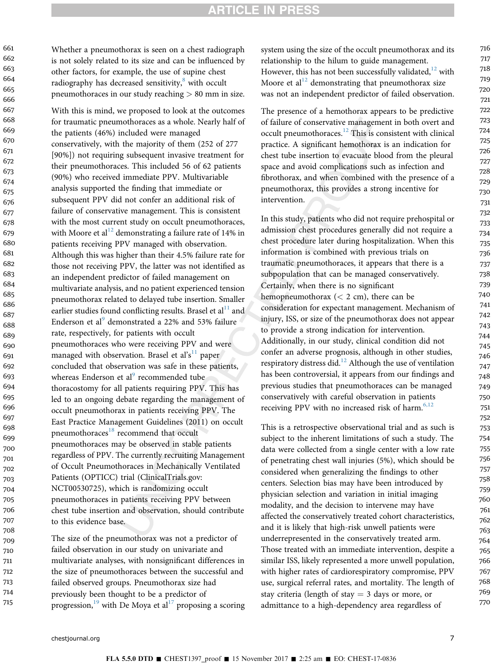716

Whether a pneumothorax is seen on a chest radiograph is not solely related to its size and can be influenced by other factors, for example, the use of supine chest radiography has decreased sensitivity, $8$  with occult pneumothoraces in our study reaching > 80 mm in size.

With this is mind, we proposed to look at the outcomes for traumatic pneumothoraces as a whole. Nearly half of the patients (46%) included were managed conservatively, with the majority of them (252 of 277 [90%]) not requiring subsequent invasive treatment for their pneumothoraces. This included 56 of 62 patients (90%) who received immediate PPV. Multivariable analysis supported the finding that immediate or subsequent PPV did not confer an additional risk of failure of conservative management. This is consistent with the most current study on occult pneumothoraces, with Moore et al<sup>[12](#page-7-0)</sup> demonstrating a failure rate of 14% in patients receiving PPV managed with observation. Although this was higher than their 4.5% failure rate for those not receiving PPV, the latter was not identified as an independent predictor of failed management on multivariate analysis, and no patient experienced tension pneumothorax related to delayed tube insertion. Smaller earlier studies found conflicting results. Brasel et  $al<sup>11</sup>$  $al<sup>11</sup>$  $al<sup>11</sup>$  and Enderson et al<sup>[9](#page-7-0)</sup> demonstrated a 22% and 53% failure rate, respectively, for patients with occult pneumothoraces who were receiving PPV and were managed with observation. Brasel et al's<sup>[11](#page-7-0)</sup> paper concluded that observation was safe in these patients, whereas Enderson et al<sup>[9](#page-7-0)</sup> recommended tube thoracostomy for all patients requiring PPV. This has led to an ongoing debate regarding the management of occult pneumothorax in patients receiving PPV. The East Practice Management Guidelines (2011) on occult pneumothoraces<sup>[18](#page-7-0)</sup> recommend that occult pneumothoraces may be observed in stable patients regardless of PPV. The currently recruiting Management of Occult Pneumothoraces in Mechanically Ventilated Patients (OPTICC) trial (ClinicalTrials.gov: NCT00530725), which is randomizing occult pneumothoraces in patients receiving PPV between chest tube insertion and observation, should contribute to this evidence base. 667 668 669 670 671 672 673 674 675 676 677 678 679 680 681 682 683 684 685 686 687 688 689 690 691 692 693 694 695 696 697 698 699 700 701 702 703 704 705 706 707 708

The size of the pneumothorax was not a predictor of failed observation in our study on univariate and multivariate analyses, with nonsignificant differences in the size of pneumothoraces between the successful and failed observed groups. Pneumothorax size had previously been thought to be a predictor of progression,<sup>[19](#page-7-0)</sup> with De Moya et al<sup>[17](#page-7-0)</sup> proposing a scoring 709 710 711 712 713 714 715

system using the size of the occult pneumothorax and its relationship to the hilum to guide management. However, this has not been successfully validated, $12$  with Moore et al<sup>[12](#page-7-0)</sup> demonstrating that pneumothorax size was not an independent predictor of failed observation.

The presence of a hemothorax appears to be predictive of failure of conservative management in both overt and occult pneumothoraces.<sup>[12](#page-7-0)</sup> This is consistent with clinical practice. A significant hemothorax is an indication for chest tube insertion to evacuate blood from the pleural space and avoid complications such as infection and fibrothorax, and when combined with the presence of a pneumothorax, this provides a strong incentive for intervention.

In this study, patients who did not require prehospital or admission chest procedures generally did not require a chest procedure later during hospitalization. When this information is combined with previous trials on traumatic pneumothoraces, it appears that there is a subpopulation that can be managed conservatively. Certainly, when there is no significant hemopneumothorax  $(< 2$  cm), there can be consideration for expectant management. Mechanism of injury, ISS, or size of the pneumothorax does not appear to provide a strong indication for intervention. Additionally, in our study, clinical condition did not confer an adverse prognosis, although in other studies, respiratory distress did.<sup>[12](#page-7-0)</sup> Although the use of ventilation has been controversial, it appears from our findings and previous studies that pneumothoraces can be managed conservatively with careful observation in patients receiving PPV with no increased risk of harm. $6,12$ 

This is a retrospective observational trial and as such is subject to the inherent limitations of such a study. The data were collected from a single center with a low rate of penetrating chest wall injuries (5%), which should be considered when generalizing the findings to other centers. Selection bias may have been introduced by physician selection and variation in initial imaging modality, and the decision to intervene may have affected the conservatively treated cohort characteristics, and it is likely that high-risk unwell patients were underrepresented in the conservatively treated arm. Those treated with an immediate intervention, despite a similar ISS, likely represented a more unwell population, with higher rates of cardiorespiratory compromise, PPV use, surgical referral rates, and mortality. The length of stay criteria (length of stay  $=$  3 days or more, or admittance to a high-dependency area regardless of